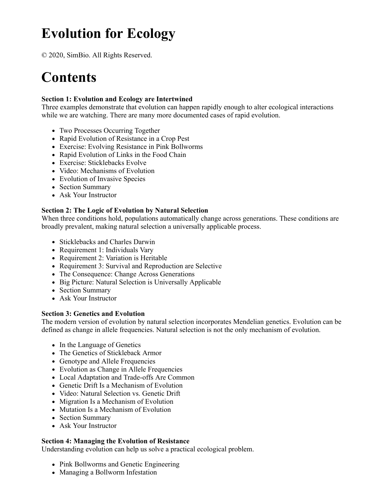# **Evolution for Ecology**

© 2020, SimBio. All Rights Reserved.

# **Contents**

## **Section 1: Evolution and Ecology are Intertwined**

Three examples demonstrate that evolution can happen rapidly enough to alter ecological interactions while we are watching. There are many more documented cases of rapid evolution.

- Two Processes Occurring Together
- Rapid Evolution of Resistance in a Crop Pest
- Exercise: Evolving Resistance in Pink Bollworms
- Rapid Evolution of Links in the Food Chain
- Exercise: Sticklebacks Evolve
- Video: Mechanisms of Evolution
- Evolution of Invasive Species
- Section Summary
- Ask Your Instructor

### **Section 2: The Logic of Evolution by Natural Selection**

When three conditions hold, populations automatically change across generations. These conditions are broadly prevalent, making natural selection a universally applicable process.

- Sticklebacks and Charles Darwin
- Requirement 1: Individuals Vary
- Requirement 2: Variation is Heritable
- Requirement 3: Survival and Reproduction are Selective
- The Consequence: Change Across Generations
- Big Picture: Natural Selection is Universally Applicable
- Section Summary
- Ask Your Instructor

#### **Section 3: Genetics and Evolution**

The modern version of evolution by natural selection incorporates Mendelian genetics. Evolution can be defined as change in allele frequencies. Natural selection is not the only mechanism of evolution.

- In the Language of Genetics
- The Genetics of Stickleback Armor
- Genotype and Allele Frequencies
- Evolution as Change in Allele Frequencies
- Local Adaptation and Trade-offs Are Common
- Genetic Drift Is a Mechanism of Evolution
- Video: Natural Selection vs. Genetic Drift
- Migration Is a Mechanism of Evolution
- Mutation Is a Mechanism of Evolution
- Section Summary
- Ask Your Instructor

#### **Section 4: Managing the Evolution of Resistance**

Understanding evolution can help us solve a practical ecological problem.

- Pink Bollworms and Genetic Engineering
- Managing a Bollworm Infestation